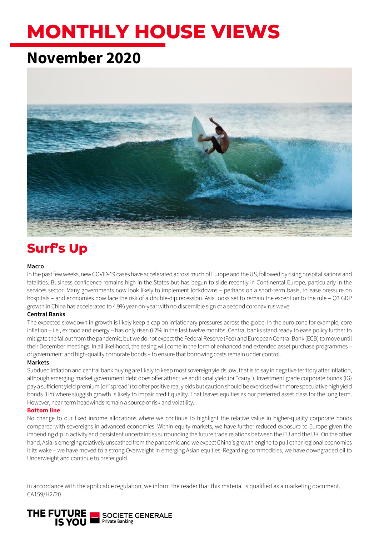# **MONTHLY HOUSE VIEWS**

# **November 2020**



# **Surf's Up**

#### **Macro**

In the past few weeks, new COVID-19 cases have accelerated across much of Europe and the US, followed by rising hospitalisations and fatalities. Business confidence remains high in the States but has begun to slide recently in Continental Europe, particularly in the services sector. Many governments now look likely to implement lockdowns – perhaps on a short-term basis, to ease pressure on hospitals – and economies now face the risk of a double-dip recession. Asia looks set to remain the exception to the rule – Q3 GDP growth in China has accelerated to 4.9% year-on-year with no discernible sign of a second coronavirus wave.

#### **Central Banks**

The expected slowdown in growth is likely keep a cap on inflationary pressures across the globe. In the euro zone for example, core inflation – i.e., ex food and energy – has only risen 0.2% in the last twelve months. Central banks stand ready to ease policy further to mitigate the fallout from the pandemic, but we do not expect the Federal Reserve (Fed) and European Central Bank (ECB) to move until their December meetings. In all likelihood, the easing will come in the form of enhanced and extended asset purchase programmes – of government and high-quality corporate bonds – to ensure that borrowing costs remain under control.

#### **Markets**

Subdued inflation and central bank buying are likely to keep most sovereign yields low, that is to say in negative territory after inflation, although emerging market government debt does offer attractive additional yield (or "carry"). Investment grade corporate bonds (IG) pay a sufficient yield premium (or "spread") to offer positive real yields but caution should be exercised with more speculative high yield bonds (HY) where sluggish growth is likely to impair credit quality. That leaves equities as our preferred asset class for the long term. However, near-term headwinds remain a source of risk and volatility.

#### **Bottom line**

No change to our fixed income allocations where we continue to highlight the relative value in higher-quality corporate bonds compared with sovereigns in advanced economies. Within equity markets, we have further reduced exposure to Europe given the impending dip in activity and persistent uncertainties surrounding the future trade relations between the EU and the UK. On the other hand, Asia is emerging relatively unscathed from the pandemic and we expect China's growth engine to pull other regional economies it its wake – we have moved to a strong Overweight in emerging Asian equities. Regarding commodities, we have downgraded oil to Underweight and continue to prefer gold.

In accordance with the applicable regulation, we inform the reader that this material is qualified as a marketing document. CA159/H2/20

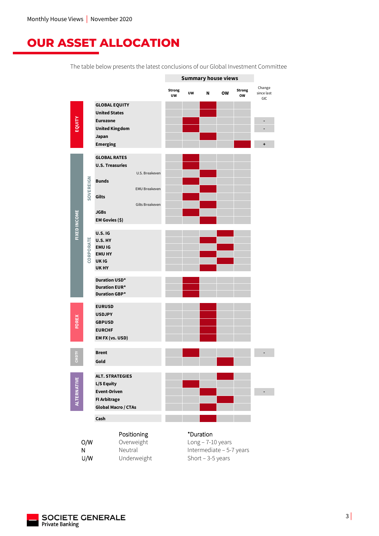# **OUR ASSET ALLOCATION**

The table below presents the latest conclusions of our Global Investment Committee



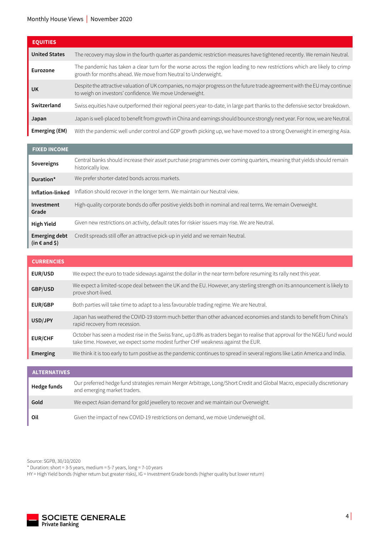| <b>EQUITIES</b>      |                                                                                                                                                                                            |
|----------------------|--------------------------------------------------------------------------------------------------------------------------------------------------------------------------------------------|
| <b>United States</b> | The recovery may slow in the fourth quarter as pandemic restriction measures have tightened recently. We remain Neutral.                                                                   |
| Eurozone             | The pandemic has taken a clear turn for the worse across the region leading to new restrictions which are likely to crimp<br>growth for months ahead. We move from Neutral to Underweight. |
| <b>UK</b>            | Despite the attractive valuation of UK companies, no major progress on the future trade agreement with the EU may continue<br>to weigh on investors' confidence. We move Underweight.      |
| Switzerland          | Swiss equities have outperformed their regional peers year-to-date, in large part thanks to the defensive sector breakdown.                                                                |
| Japan                | Japan is well-placed to benefit from growth in China and earnings should bounce strongly next year. For now, we are Neutral.                                                               |
| Emerging (EM)        | With the pandemic well under control and GDP growth picking up, we have moved to a strong Overweight in emerging Asia.                                                                     |

| <b>FIXED INCOME</b>                            |                                                                                                                                            |
|------------------------------------------------|--------------------------------------------------------------------------------------------------------------------------------------------|
| Sovereigns                                     | Central banks should increase their asset purchase programmes over coming quarters, meaning that yields should remain<br>historically low. |
| Duration*                                      | We prefer shorter-dated bonds across markets.                                                                                              |
| Inflation-linked                               | Inflation should recover in the longer term. We maintain our Neutral view.                                                                 |
| Investment<br>Grade                            | High-quality corporate bonds do offer positive yields both in nominal and real terms. We remain Overweight.                                |
| <b>High Yield</b>                              | Given new restrictions on activity, default rates for riskier issuers may rise. We are Neutral.                                            |
| <b>Emerging debt</b><br>(in $\epsilon$ and \$) | Credit spreads still offer an attractive pick-up in yield and we remain Neutral.                                                           |

| <b>CURRENCIES</b> |                                                                                                                                                                                                                 |
|-------------------|-----------------------------------------------------------------------------------------------------------------------------------------------------------------------------------------------------------------|
| <b>EUR/USD</b>    | We expect the euro to trade sideways against the dollar in the near term before resuming its rally next this year.                                                                                              |
| GBP/USD           | We expect a limited-scope deal between the UK and the EU. However, any sterling strength on its announcement is likely to<br>prove short-lived.                                                                 |
| <b>EUR/GBP</b>    | Both parties will take time to adapt to a less favourable trading regime. We are Neutral.                                                                                                                       |
| USD/JPY           | Japan has weathered the COVID-19 storm much better than other advanced economies and stands to benefit from China's<br>rapid recovery from recession.                                                           |
| <b>EUR/CHF</b>    | October has seen a modest rise in the Swiss franc, up 0.8% as traders began to realise that approval for the NGEU fund would<br>take time. However, we expect some modest further CHF weakness against the EUR. |
| Emerging          | We think it is too early to turn positive as the pandemic continues to spread in several regions like Latin America and India.                                                                                  |

| <b>ALTERNATIVES</b> |                                                                                                                                                           |
|---------------------|-----------------------------------------------------------------------------------------------------------------------------------------------------------|
| Hedge funds         | Our preferred hedge fund strategies remain Merger Arbitrage, Long/Short Credit and Global Macro, especially discretionary<br>and emerging market traders. |
| Gold                | We expect Asian demand for gold jewellery to recover and we maintain our Overweight.                                                                      |
| Oil                 | Given the impact of new COVID-19 restrictions on demand, we move Underweight oil.                                                                         |

Source: SGPB, 30/10/2020

\* Duration: short = 3-5 years, medium = 5-7 years, long = 7-10 years

HY = High Yield bonds (higher return but greater risks), IG = Investment Grade bonds (higher quality but lower return)

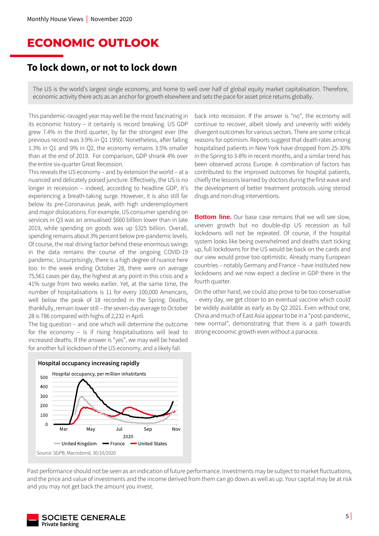# **ECONOMIC OUTLOOK**

### **To lock down, or not to lock down**

The US is the world's largest single economy, and home to well over half of global equity market capitalisation. Therefore, economic activity there acts as an anchor for growth elsewhere and sets the pace for asset price returns globally.

This pandemic-ravaged year may well be the most fascinating in its economic history – it certainly is record breaking. US GDP grew 7.4% in the third quarter, by far the strongest ever (the previous record was 3.9% in Q1 1950). Nonetheless, after falling 1.3% in Q1 and 9% in Q2, the economy remains 3.5% smaller than at the end of 2019. For comparison, GDP shrank 4% over the entire six-quarter Great Recession.

This reveals the US economy – and by extension the world – at a nuanced and delicately poised juncture. Effectively, the US is no longer in recession – indeed, according to headline GDP, it's experiencing a breath-taking surge. However, it is also still far below its pre-Coronavirus peak, with high underemployment and major dislocations. For example, US consumer spending on services in Q3 was an annualised \$660 billion lower than in late 2019, while spending on goods was up \$325 billion. Overall, spending remains about 3% percent below pre-pandemic levels. Of course, the real driving factor behind these enormous swings in the data remains the course of the ongoing COVID-19 pandemic. Unsurprisingly, there is a high degree of nuance here too. In the week ending October 28, there were on average 75,561 cases per day, the highest at any point in this crisis and a 41% surge from two weeks earlier. Yet, at the same time, the number of hospitalisations is 11 for every 100,000 Americans, well below the peak of 18 recorded in the Spring. Deaths, thankfully, remain lower still – the seven-day average to October 28 is 786 compared with highs of 2,232 in April.

The big question – and one which will determine the outcome for the economy – is if rising hospitalisations will lead to increased deaths. If the answer is "yes", we may well be headed for another full lockdown of the US economy, and a likely fall

back into recession. If the answer is "no", the economy will continue to recover, albeit slowly and unevenly with widely divergent outcomes for various sectors. There are some critical reasons for optimism. Reports suggest that death rates among hospitalised patients in New York have dropped from 25-30% in the Spring to 3-8% in recent months, and a similar trend has been observed across Europe. A combination of factors has contributed to the improved outcomes for hospital patients, chiefly the lessons learned by doctors during the first wave and the development of better treatment protocols using steroid drugs and non-drug interventions.

**Bottom line.** Our base case remains that we will see slow uneven growth but no double-dip US recession as full lockdowns will not be repeated. Of course, if the hospital system looks like being overwhelmed and deaths start ticking up, full lockdowns for the US would be back on the cards and our view would prove too optimistic. Already many European countries – notably Germany and France – have instituted new lockdowns and we now expect a decline in GDP there in the fourth quarter.

On the other hand, we could also prove to be too conservative – every day, we get closer to an eventual vaccine which could be widely available as early as by Q2 2021. Even without one, China and much of East Asia appear to be in a "post-pandemic, new normal", demonstrating that there is a path towards strong economic growth even without a panacea.



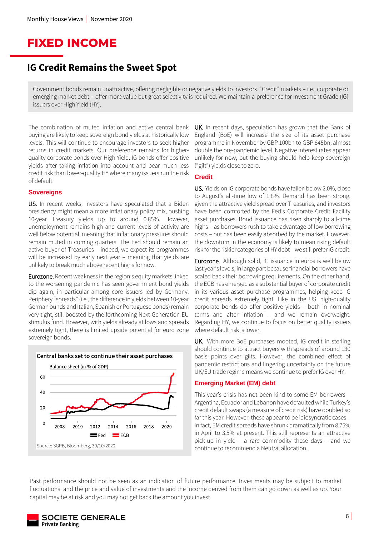## **FIXED INCOME**

### **IG Credit Remains the Sweet Spot**

Government bonds remain unattractive, offering negligible or negative yields to investors. "Credit" markets – i.e., corporate or emerging market debt – offer more value but great selectivity is required. We maintain a preference for Investment Grade (IG) issuers over High Yield (HY).

The combination of muted inflation and active central bank buying are likely to keep sovereign bond yields at historically low levels. This will continue to encourage investors to seek higher returns in credit markets. Our preference remains for higherquality corporate bonds over High Yield. IG bonds offer positive yields after taking inflation into account and bear much less credit risk than lower-quality HY where many issuers run the risk of default.

#### **Sovereigns**

US. In recent weeks, investors have speculated that a Biden presidency might mean a more inflationary policy mix, pushing 10-year Treasury yields up to around 0.85%. However, unemployment remains high and current levels of activity are well below potential, meaning that inflationary pressures should remain muted in coming quarters. The Fed should remain an active buyer of Treasuries – indeed, we expect its programmes will be increased by early next year - meaning that yields are unlikely to break much above recent highs for now.

Eurozone. Recent weakness in the region's equity markets linked to the worsening pandemic has seen government bond yields dip again, in particular among core issuers led by Germany. Periphery "spreads" (i.e., the difference in yields between 10-year German bunds and Italian, Spanish or Portuguese bonds) remain very tight, still boosted by the forthcoming Next Generation EU stimulus fund. However, with yields already at lows and spreads extremely tight, there is limited upside potential for euro zone sovereign bonds.



UK. In recent days, speculation has grown that the Bank of England (BoE) will increase the size of its asset purchase programme in November by GBP 100bn to GBP 845bn, almost double the pre-pandemic level. Negative interest rates appear unlikely for now, but the buying should help keep sovereign ("gilt") yields close to zero.

#### **Credit**

US. Yields on IG corporate bonds have fallen below 2.0%, close to August's all-time low of 1.8%. Demand has been strong, given the attractive yield spread over Treasuries, and investors have been comforted by the Fed's Corporate Credit Facility asset purchases. Bond issuance has risen sharply to all-time highs – as borrowers rush to take advantage of low borrowing costs – but has been easily absorbed by the market. However, the downturn in the economy is likely to mean rising default risk for the riskier categories of HY debt – we still prefer IG credit.

Eurozone. Although solid, IG issuance in euros is well below last year's levels, in large part because financial borrowers have scaled back their borrowing requirements. On the other hand, the ECB has emerged as a substantial buyer of corporate credit in its various asset purchase programmes, helping keep IG credit spreads extremely tight. Like in the US, high-quality corporate bonds do offer positive yields – both in nominal terms and after inflation – and we remain overweight. Regarding HY, we continue to focus on better quality issuers where default risk is lower.

UK. With more BoE purchases mooted, IG credit in sterling should continue to attract buyers with spreads of around 130 basis points over gilts. However, the combined effect of pandemic restrictions and lingering uncertainty on the future UK/EU trade regime means we continue to prefer IG over HY.

#### **Emerging Market (EM) debt**

This year's crisis has not been kind to some EM borrowers – Argentina, Ecuador and Lebanon have defaulted while Turkey's credit default swaps (a measure of credit risk) have doubled so far this year. However, these appear to be idiosyncratic cases – in fact, EM credit spreads have shrunk dramatically from 8.75% in April to 3.5% at present. This still represents an attractive pick-up in yield – a rare commodity these days – and we continue to recommend a Neutral allocation.

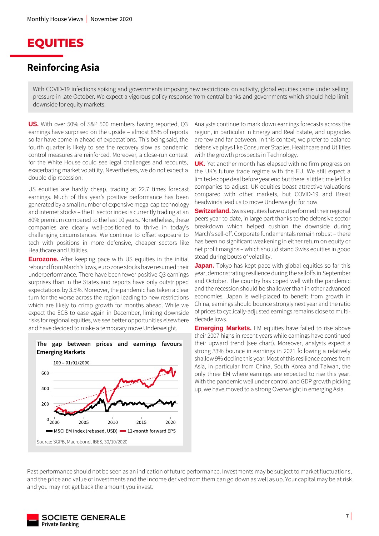# **EQUITIES**

### **Reinforcing Asia**

With COVID-19 infections spiking and governments imposing new restrictions on activity, global equities came under selling pressure in late October. We expect a vigorous policy response from central banks and governments which should help limit downside for equity markets.

**US.** With over 50% of S&P 500 members having reported, Q3 earnings have surprised on the upside – almost 85% of reports so far have come in ahead of expectations. This being said, the fourth quarter is likely to see the recovery slow as pandemic control measures are reinforced. Moreover, a close-run contest for the White House could see legal challenges and recounts, exacerbating market volatility. Nevertheless, we do not expect a double-dip recession.

US equities are hardly cheap, trading at 22.7 times forecast earnings. Much of this year's positive performance has been generated by a small number of expensive mega-cap technology and internet stocks – the IT sector index is currently trading at an 80% premium compared to the last 10 years. Nonetheless, these companies are clearly well-positioned to thrive in today's challenging circumstances. We continue to offset exposure to tech with positions in more defensive, cheaper sectors like Healthcare and Utilities.

**Eurozone.** After keeping pace with US equities in the initial rebound from March's lows, euro zone stocks have resumed their underperformance. There have been fewer positive Q3 earnings surprises than in the States and reports have only outstripped expectations by 3.5%. Moreover, the pandemic has taken a clear turn for the worse across the region leading to new restrictions which are likely to crimp growth for months ahead. While we expect the ECB to ease again in December, limiting downside risks for regional equities, we see better opportunities elsewhere and have decided to make a temporary move Underweight.



Analysts continue to mark down earnings forecasts across the region, in particular in Energy and Real Estate, and upgrades are few and far between. In this context, we prefer to balance defensive plays like Consumer Staples, Healthcare and Utilities with the growth prospects in Technology.

**UK.** Yet another month has elapsed with no firm progress on the UK's future trade regime with the EU. We still expect a limited-scope deal before year end but there is little time left for companies to adjust. UK equities boast attractive valuations compared with other markets, but COVID-19 and Brexit headwinds lead us to move Underweight for now.

**Switzerland.** Swiss equities have outperformed their regional peers year-to-date, in large part thanks to the defensive sector breakdown which helped cushion the downside during March's sell-off. Corporate fundamentals remain robust – there has been no significant weakening in either return on equity or net profit margins – which should stand Swiss equities in good stead during bouts of volatility.

**Japan.** Tokyo has kept pace with global equities so far this year, demonstrating resilience during the selloffs in September and October. The country has coped well with the pandemic and the recession should be shallower than in other advanced economies. Japan is well-placed to benefit from growth in China, earnings should bounce strongly next year and the ratio of prices to cyclically-adjusted earnings remains close to multidecade lows.

**Emerging Markets.** EM equities have failed to rise above their 2007 highs in recent years while earnings have continued their upward trend (see chart). Moreover, analysts expect a strong 33% bounce in earnings in 2021 following a relatively shallow 9% decline this year. Most of this resilience comes from Asia, in particular from China, South Korea and Taiwan, the only three EM where earnings are expected to rise this year. With the pandemic well under control and GDP growth picking up, we have moved to a strong Overweight in emerging Asia.

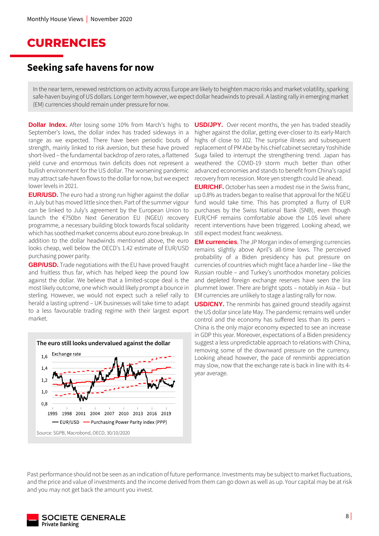### **CURRENCIES**

### **Seeking safe havens for now**

In the near term, renewed restrictions on activity across Europe are likely to heighten macro risks and market volatility, sparking safe-haven buying of US dollars. Longer term however, we expect dollar headwinds to prevail. A lasting rally in emerging market (EM) currencies should remain under pressure for now.

**Dollar Index.** After losing some 10% from March's highs to September's lows, the dollar index has traded sideways in a range as we expected. There have been periodic bouts of strength, mainly linked to risk aversion, but these have proved short-lived – the fundamental backdrop of zero rates, a flattened yield curve and enormous twin deficits does not represent a bullish environment for the US dollar. The worsening pandemic may attract safe-haven flows to the dollar for now, but we expect lower levels in 2021.

**EUR/USD.** The euro had a strong run higher against the dollar in July but has moved little since then. Part of the summer vigour can be linked to July's agreement by the European Union to launch the €750bn Next Generation EU (NGEU) recovery programme, a necessary building block towards fiscal solidarity which has soothed market concerns about euro zone breakup. In addition to the dollar headwinds mentioned above, the euro looks cheap, well below the OECD's 1.42 estimate of EUR/USD purchasing power parity.

**GBP/USD.** Trade negotiations with the EU have proved fraught and fruitless thus far, which has helped keep the pound low against the dollar. We believe that a limited-scope deal is the most likely outcome, one which would likely prompt a bounce in sterling. However, we would not expect such a relief rally to herald a lasting uptrend – UK businesses will take time to adapt to a less favourable trading regime with their largest export market.



**USD/JPY.** Over recent months, the yen has traded steadily higher against the dollar, getting ever-closer to its early-March highs of close to 102. The surprise illness and subsequent replacement of PM Abe by his chief cabinet secretary Yoshihide Suga failed to interrupt the strengthening trend. Japan has weathered the COVID-19 storm much better than other advanced economies and stands to benefit from China's rapid recovery from recession. More yen strength could lie ahead.

**EUR/CHF.** October has seen a modest rise in the Swiss franc, up 0.8% as traders began to realise that approval for the NGEU fund would take time. This has prompted a flurry of EUR purchases by the Swiss National Bank (SNB), even though EUR/CHF remains comfortable above the 1.05 level where recent interventions have been triggered. Looking ahead, we still expect modest franc weakness.

**EM currencies**. The JP Morgan index of emerging currencies remains slightly above April's all-time lows. The perceived probability of a Biden presidency has put pressure on currencies of countries which might face a harder line – like the Russian rouble – and Turkey's unorthodox monetary policies and depleted foreign exchange reserves have seen the lira plummet lower. There are bright spots – notably in Asia – but EM currencies are unlikely to stage a lasting rally for now.

**USD/CNY.** The renminbi has gained ground steadily against the US dollar since late May. The pandemic remains well under control and the economy has suffered less than its peers – China is the only major economy expected to see an increase in GDP this year. Moreover, expectations of a Biden presidency suggest a less unpredictable approach to relations with China, removing some of the downward pressure on the currency. Looking ahead however, the pace of renminbi appreciation may slow, now that the exchange rate is back in line with its 4 year average.

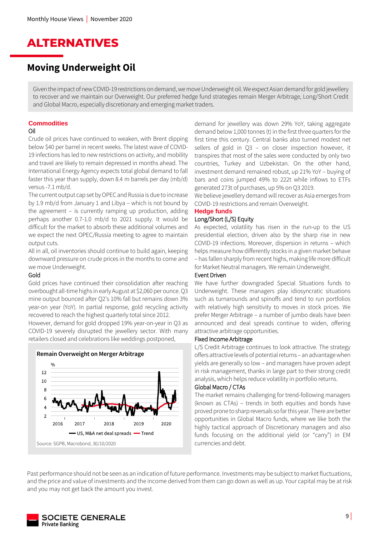# **ALTERNATIVES**

### **Moving Underweight Oil**

Given the impact of new COVID-19 restrictions on demand, we move Underweight oil. We expect Asian demand for gold jewellery to recover and we maintain our Overweight. Our preferred hedge fund strategies remain Merger Arbitrage, Long/Short Credit and Global Macro, especially discretionary and emerging market traders.

#### **Commodities**

#### Oil

Crude oil prices have continued to weaken, with Brent dipping below \$40 per barrel in recent weeks. The latest wave of COVID-19 infections has led to new restrictions on activity, and mobility and travel are likely to remain depressed in months ahead. The International Energy Agency expects total global demand to fall faster this year than supply, down 8.4 m barrels per day (mb/d) versus -7.1 mb/d.

The current output cap set by OPEC and Russia is due to increase by 1.9 mb/d from January 1 and Libya – which is not bound by the agreement – is currently ramping up production, adding perhaps another 0.7-1.0 mb/d to 2021 supply. It would be difficult for the market to absorb these additional volumes and we expect the next OPEC/Russia meeting to agree to maintain output cuts.

All in all, oil inventories should continue to build again, keeping downward pressure on crude prices in the months to come and we move Underweight.

#### Gold

Gold prices have continued their consolidation after reaching overbought all-time highs in early August at \$2,060 per ounce. Q3 mine output bounced after Q2's 10% fall but remains down 3% year-on year (YoY). In partial response, gold recycling activity recovered to reach the highest quarterly total since 2012.

However, demand for gold dropped 19% year-on-year in Q3 as COVID-19 severely disrupted the jewellery sector. With many retailers closed and celebrations like weddings postponed,



**Remain Overweight on Merger Arbitrage**

demand for jewellery was down 29% YoY, taking aggregate demand below 1,000 tonnes (t) in the first three quarters for the first time this century. Central banks also turned modest net sellers of gold in Q3 – on closer inspection however, it transpires that most of the sales were conducted by only two countries, Turkey and Uzbekistan. On the other hand, investment demand remained robust, up 21% YoY – buying of bars and coins jumped 49% to 222t while inflows to ETFs generated 273t of purchases, up 5% on Q3 2019.

We believe jewellery demand will recover as Asia emerges from COVID-19 restrictions and remain Overweight.

#### **Hedge funds**

#### Long/Short (L/S) Equity

As expected, volatility has risen in the run-up to the US presidential election, driven also by the sharp rise in new COVID-19 infections. Moreover, dispersion in returns – which helps measure how differently stocks in a given market behave – has fallen sharply from recent highs, making life more difficult for Market Neutral managers. We remain Underweight.

#### Event Driven

We have further downgraded Special Situations funds to Underweight. These managers play idiosyncratic situations such as turnarounds and spinoffs and tend to run portfolios with relatively high sensitivity to moves in stock prices. We prefer Merger Arbitrage – a number of jumbo deals have been announced and deal spreads continue to widen, offering attractive arbitrage opportunities.

#### Fixed Income Arbitrage

L/S Credit Arbitrage continues to look attractive. The strategy offers attractive levels of potential returns – an advantage when yields are generally so low – and managers have proven adept in risk management, thanks in large part to their strong credit analysis, which helps reduce volatility in portfolio returns.

#### Global Macro / CTAs

The market remains challenging for trend-following managers (known as CTAs) – trends in both equities and bonds have proved prone to sharp reversals so far this year. There are better opportunities in Global Macro funds, where we like both the highly tactical approach of Discretionary managers and also funds focusing on the additional yield (or "carry") in EM currencies and debt.

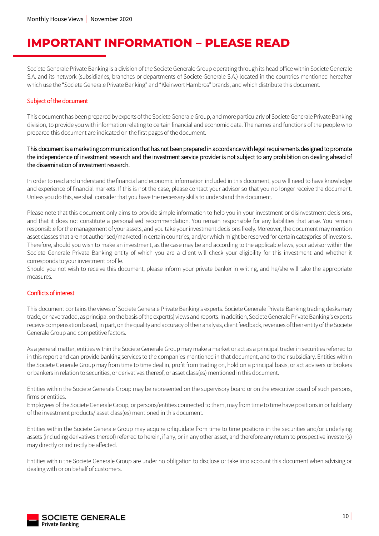# **IMPORTANT INFORMATION – PLEASE READ**

Societe Generale Private Banking is a division of the Societe Generale Group operating through its head office within Societe Generale S.A. and its network (subsidiaries, branches or departments of Societe Generale S.A.) located in the countries mentioned hereafter which use the "Societe Generale Private Banking" and "Kleinwort Hambros" brands, and which distribute this document.

#### Subject of the document

This document has been prepared by experts of the Societe Generale Group, and more particularly of Societe Generale Private Banking division, to provide you with information relating to certain financial and economic data. The names and functions of the people who prepared this document are indicated on the first pages of the document.

#### This document is a marketing communication that has not been prepared in accordance with legal requirements designed to promote the independence of investment research and the investment service provider is not subject to any prohibition on dealing ahead of the dissemination of investment research.

In order to read and understand the financial and economic information included in this document, you will need to have knowledge and experience of financial markets. If this is not the case, please contact your advisor so that you no longer receive the document. Unless you do this, we shall consider that you have the necessary skills to understand this document.

Please note that this document only aims to provide simple information to help you in your investment or disinvestment decisions, and that it does not constitute a personalised recommendation. You remain responsible for any liabilities that arise. You remain responsible for the management of your assets, and you take your investment decisions freely. Moreover, the document may mention asset classes that are not authorised/marketed in certain countries, and/or which might be reserved for certain categories of investors. Therefore, should you wish to make an investment, as the case may be and according to the applicable laws, your advisor within the Societe Generale Private Banking entity of which you are a client will check your eligibility for this investment and whether it corresponds to your investment profile.

Should you not wish to receive this document, please inform your private banker in writing, and he/she will take the appropriate measures.

#### Conflicts of interest

This document contains the views of Societe Generale Private Banking's experts. Societe Generale Private Banking trading desks may trade, or have traded, as principal on the basis of the expert(s) views and reports. In addition, Societe Generale Private Banking's experts receive compensation based, in part, on the quality and accuracy of their analysis, client feedback, revenues of their entityof the Societe Generale Group and competitive factors.

As a general matter, entities within the Societe Generale Group may make a market or act as a principal trader in securities referred to in this report and can provide banking services to the companies mentioned in that document, and to their subsidiary. Entities within the Societe Generale Group may from time to time deal in, profit from trading on, hold on a principal basis, or act advisers or brokers or bankers in relation to securities, or derivatives thereof, or asset class(es) mentioned in this document.

Entities within the Societe Generale Group may be represented on the supervisory board or on the executive board of such persons, firms or entities.

Employees of the Societe Generale Group, or persons/entities connected to them, may from time to time have positions in or hold any of the investment products/ asset class(es) mentioned in this document.

Entities within the Societe Generale Group may acquire orliquidate from time to time positions in the securities and/or underlying assets (including derivatives thereof) referred to herein, if any, or in any other asset, and therefore any return to prospective investor(s) may directly or indirectly be affected.

Entities within the Societe Generale Group are under no obligation to disclose or take into account this document when advising or dealing with or on behalf of customers.

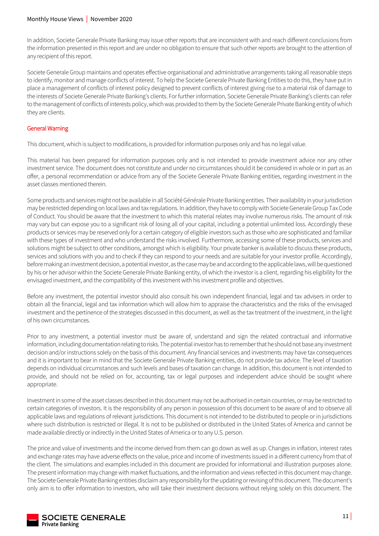#### Monthly House Views | November 2020

In addition, Societe Generale Private Banking may issue other reports that are inconsistent with and reach different conclusions from the information presented in this report and are under no obligation to ensure that such other reports are brought to the attention of any recipient of this report.

Societe Generale Group maintains and operates effective organisational and administrative arrangements taking all reasonable steps to identify, monitor and manage conflicts of interest. To help the Societe Generale Private Banking Entities to do this, they have put in place a management of conflicts of interest policy designed to prevent conflicts of interest giving rise to a material risk of damage to the interests of Societe Generale Private Banking's clients. For further information, Societe Generale Private Banking's clients can refer to the management of conflicts of interests policy, which was provided to them by the Societe Generale Private Banking entity of which they are clients.

#### General Warning

This document, which is subject to modifications, is provided for information purposes only and has no legal value.

This material has been prepared for information purposes only and is not intended to provide investment advice nor any other investment service. The document does not constitute and under no circumstances should it be considered in whole or in part as an offer, a personal recommendation or advice from any of the Societe Generale Private Banking entities, regarding investment in the asset classes mentioned therein.

Some products and services might not be available in all Société Générale Private Banking entities. Their availability in your jurisdiction may be restricted depending on local laws and tax regulations. In addition, they have to comply with Societe Generale Group Tax Code of Conduct. You should be aware that the investment to which this material relates may involve numerous risks. The amount of risk may vary but can expose you to a significant risk of losing all of your capital, including a potential unlimited loss. Accordingly these products or services may be reserved only for a certain category of eligible investors such as those who are sophisticated and familiar with these types of investment and who understand the risks involved. Furthermore, accessing some of these products, services and solutions might be subject to other conditions, amongst which is eligibility. Your private banker is available to discuss these products, services and solutions with you and to check if they can respond to your needs and are suitable for your investor profile. Accordingly, before making an investment decision, a potential investor, as the case may be and according to the applicable laws, will be questioned by his or her advisor within the Societe Generale Private Banking entity, of which the investor is a client, regarding his eligibility for the envisaged investment, and the compatibility of this investment with his investment profile and objectives.

Before any investment, the potential investor should also consult his own independent financial, legal and tax advisers in order to obtain all the financial, legal and tax information which will allow him to appraise the characteristics and the risks of the envisaged investment and the pertinence of the strategies discussed in this document, as well as the tax treatment of the investment, in the light of his own circumstances.

Prior to any investment, a potential investor must be aware of, understand and sign the related contractual and informative information, including documentation relating to risks. The potential investor has to remember that he should not base any investment decision and/or instructions solely on the basis of this document. Any financial services and investments may have tax consequences and it is important to bear in mind that the Societe Generale Private Banking entities, do not provide tax advice. The level of taxation depends on individual circumstances and such levels and bases of taxation can change. In addition, this document is not intended to provide, and should not be relied on for, accounting, tax or legal purposes and independent advice should be sought where appropriate.

Investment in some of the asset classes described in this document may not be authorised in certain countries, or may be restricted to certain categories of investors. It is the responsibility of any person in possession of this document to be aware of and to observe all applicable laws and regulations of relevant jurisdictions. This document is not intended to be distributed to people or in jurisdictions where such distribution is restricted or illegal. It is not to be published or distributed in the United States of America and cannot be made available directly or indirectly in the United States of America or to any U.S. person.

The price and value of investments and the income derived from them can go down as well as up. Changes in inflation, interest rates and exchange rates may have adverse effects on the value, price and income of investments issued in a different currency from that of the client. The simulations and examples included in this document are provided for informational and illustration purposes alone. The present information may change with market fluctuations, and the information and views reflected in this document may change. The Societe Generale Private Banking entities disclaim any responsibility for the updating or revising of this document. The document's only aim is to offer information to investors, who will take their investment decisions without relying solely on this document. The

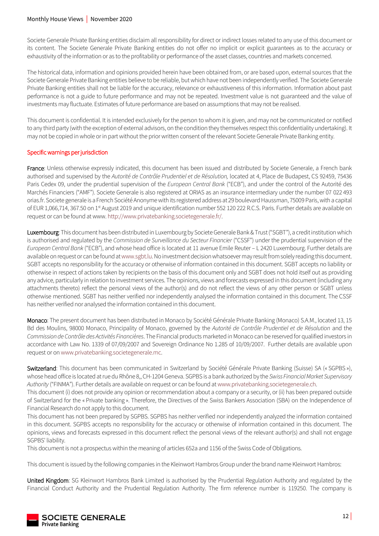#### Monthly House Views | November 2020

Societe Generale Private Banking entities disclaim all responsibility for direct or indirect losses related to any use of this document or its content. The Societe Generale Private Banking entities do not offer no implicit or explicit guarantees as to the accuracy or exhaustivity of the information or as to the profitability or performance of the asset classes, countries and markets concerned.

The historical data, information and opinions provided herein have been obtained from, or are based upon, external sources that the Societe Generale Private Banking entities believe to be reliable, but which have not been independently verified. The Societe Generale Private Banking entities shall not be liable for the accuracy, relevance or exhaustiveness of this information. Information about past performance is not a guide to future performance and may not be repeated. Investment value is not guaranteed and the value of investments may fluctuate. Estimates of future performance are based on assumptions that may not be realised.

This document is confidential. It is intended exclusively for the person to whom it is given, and may not be communicated or notified to any third party (with the exception of external advisors, on the condition they themselves respect this confidentiality undertaking). It may not be copied in whole or in part without the prior written consent of the relevant Societe Generale Private Banking entity.

#### Specific warnings per jurisdiction

France: Unless otherwise expressly indicated, this document has been issued and distributed by Societe Generale, a French bank authorised and supervised by the *Autorité de Contrôle Prudentiel et de Résolution,* located at 4, Place de Budapest, CS 92459, 75436 Paris Cedex 09, under the prudential supervision of the *European Central Bank* ("ECB"), and under the control of the Autorité des Marchés Financiers ("AMF"). Societe Generale is also registered at ORIAS as an insurance intermediary under the number 07 022 493 orias.fr. Societe generale is a French Société Anonyme with its registered address at 29 boulevard Haussman, 75009 Paris, with a capital of EUR 1,066,714, 367.50 on 1<sup>st</sup> August 2019 and unique identification number 552 120 222 R.C.S. Paris. Further details are available on request or can be found at www[. http://www.privatebanking.societegenerale.fr/.](http://www.privatebanking.societegenerale.fr/)

Luxembourg: This document has been distributed in Luxembourg by Societe Generale Bank & Trust ("SGBT"), a credit institution which is authorised and regulated by the *Commission de Surveillance du Secteur Financier* ("CSSF") under the prudential supervision of the *European Central Bank* ("ECB"), and whose head office is located at 11 avenue Emile Reuter – L 2420 Luxembourg. Further details are available on request or can be found a[t www.sgbt.lu.](http://www.sgbt.lu/)No investment decision whatsoever may result from solely reading this document. SGBT accepts no responsibility for the accuracy or otherwise of information contained in this document. SGBT accepts no liability or otherwise in respect of actions taken by recipients on the basis of this document only and SGBT does not hold itself out as providing any advice, particularly in relation to investment services. The opinions, views and forecasts expressed in this document (including any attachments thereto) reflect the personal views of the author(s) and do not reflect the views of any other person or SGBT unless otherwise mentioned. SGBT has neither verified nor independently analysed the information contained in this document. The CSSF has neither verified nor analysed the information contained in this document.

Monaco: The present document has been distributed in Monaco by Société Générale Private Banking (Monaco) S.A.M., located 13, 15 Bd des Moulins, 98000 Monaco, Principality of Monaco, governed by the *Autorité de Contrôle Prudentiel et de Résolution* and the *Commission de Contrôle des Activités Financières*. The Financial products marketed in Monaco can be reserved for qualified investors in accordance with Law No. 1339 of 07/09/2007 and Sovereign Ordinance No 1.285 of 10/09/2007. Further details are available upon request or o[n www.privatebanking.societegenerale.mc.](http://www.privatebanking.societegenerale.mc/)

Switzerland: This document has been communicated in Switzerland by Société Générale Private Banking (Suisse) SA (« SGPBS »), whose head office is located at rue du Rhône 8,, CH-1204 Geneva. SGPBS is a bank authorized by the *Swiss Financial Market Supervisory Authority* ("FINMA"). Further details are available on request or can be found at [www.privatebanking.societegenerale.ch.](http://www.privatebanking.societegenerale.ch/)

This document (i) does not provide any opinion or recommendation about a company or a security, or (ii) has been prepared outside of Switzerland for the « Private banking ». Therefore, the Directives of the Swiss Bankers Association (SBA) on the Independence of Financial Research do not apply to this document.

This document has not been prepared by SGPBS. SGPBS has neither verified nor independently analyzed the information contained in this document. SGPBS accepts no responsibility for the accuracy or otherwise of information contained in this document. The opinions, views and forecasts expressed in this document reflect the personal views of the relevant author(s) and shall not engage SGPBS' liability.

This document is not a prospectus within the meaning of articles 652a and 1156 of the Swiss Code of Obligations.

This document is issued by the following companies in the Kleinwort Hambros Group under the brand name Kleinwort Hambros:

United Kingdom: SG Kleinwort Hambros Bank Limited is authorised by the Prudential Regulation Authority and regulated by the Financial Conduct Authority and the Prudential Regulation Authority. The firm reference number is 119250. The company is

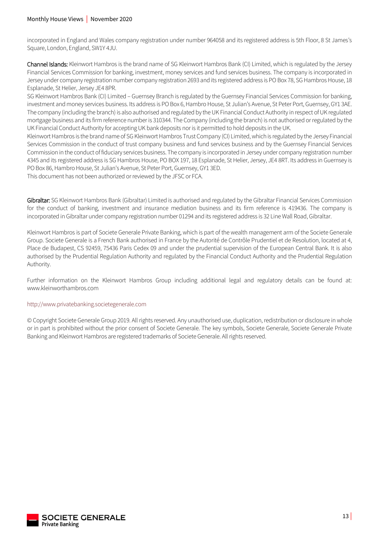incorporated in England and Wales company registration under number 964058 and its registered address is 5th Floor, 8 St James's Square, London, England, SW1Y 4JU.

Channel Islands: Kleinwort Hambros is the brand name of SG Kleinwort Hambros Bank (CI) Limited, which is regulated by the Jersey Financial Services Commission for banking, investment, money services and fund services business. The company is incorporated in Jersey under company registration number company registration 2693 and its registered address is PO Box 78, SG Hambros House, 18 Esplanade, St Helier, Jersey JE4 8PR.

SG Kleinwort Hambros Bank (CI) Limited – Guernsey Branch is regulated by the Guernsey Financial Services Commission for banking, investment and money services business. Its address is PO Box 6, Hambro House, St Julian's Avenue, St Peter Port, Guernsey, GY1 3AE. The company (including the branch) is also authorised and regulated by the UK Financial Conduct Authority in respect of UK regulated mortgage business and its firm reference number is 310344. The Company (including the branch) is not authorised or regulated by the UK Financial Conduct Authority for accepting UK bank deposits nor is it permitted to hold deposits in the UK.

Kleinwort Hambros is the brand name of SG Kleinwort Hambros Trust Company (CI) Limited, which is regulated by the Jersey Financial Services Commission in the conduct of trust company business and fund services business and by the Guernsey Financial Services Commission in the conduct of fiduciary services business. The company is incorporated in Jersey under company registration number 4345 and its registered address is SG Hambros House, PO BOX 197, 18 Esplanade, St Helier, Jersey, JE4 8RT. Its address in Guernsey is PO Box 86, Hambro House, St Julian's Avenue, St Peter Port, Guernsey, GY1 3ED.

This document has not been authorized or reviewed by the JFSC or FCA.

Gibraltar: SG Kleinwort Hambros Bank (Gibraltar) Limited is authorised and regulated by the Gibraltar Financial Services Commission for the conduct of banking, investment and insurance mediation business and its firm reference is 419436. The company is incorporated in Gibraltar under company registration number 01294 and its registered address is 32 Line Wall Road, Gibraltar.

Kleinwort Hambros is part of Societe Generale Private Banking, which is part of the wealth management arm of the Societe Generale Group. Societe Generale is a French Bank authorised in France by the Autorité de Contrôle Prudentiel et de Resolution, located at 4, Place de Budapest, CS 92459, 75436 Paris Cedex 09 and under the prudential supervision of the European Central Bank. It is also authorised by the Prudential Regulation Authority and regulated by the Financial Conduct Authority and the Prudential Regulation Authority.

Further information on the Kleinwort Hambros Group including additional legal and regulatory details can be found at: www.kleinworthambros.com

#### [http://www.privatebanking.societegenerale.com](http://www.privatebanking.societegenerale.com/)

© Copyright Societe Generale Group 2019. All rights reserved. Any unauthorised use, duplication, redistribution or disclosure in whole or in part is prohibited without the prior consent of Societe Generale. The key symbols, Societe Generale, Societe Generale Private Banking and Kleinwort Hambros are registered trademarks of Societe Generale. All rights reserved.